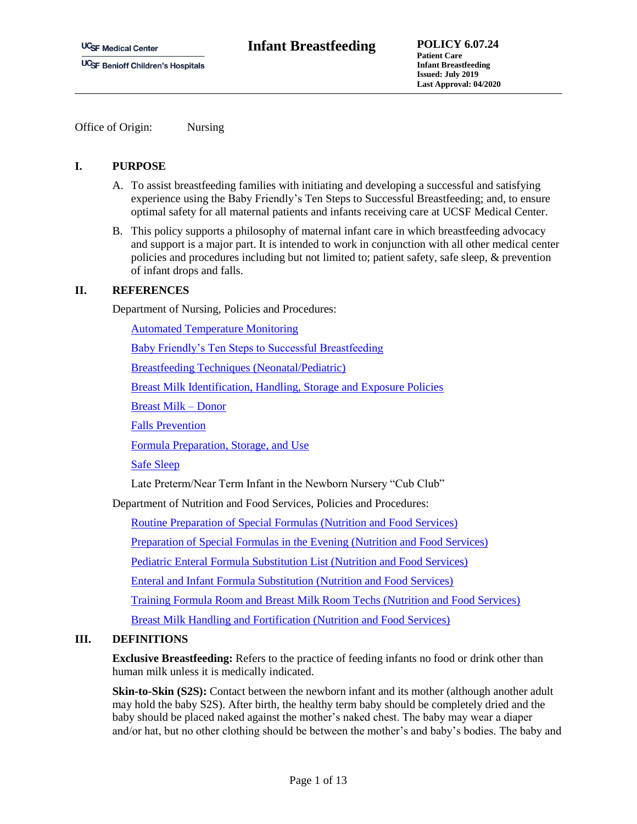Office of Origin: Nursing

## **I. PURPOSE**

- A. To assist breastfeeding families with initiating and developing a successful and satisfying experience using the Baby Friendly's Ten Steps to Successful Breastfeeding; and, to ensure optimal safety for all maternal patients and infants receiving care at UCSF Medical Center.
- B. This policy supports a philosophy of maternal infant care in which breastfeeding advocacy and support is a major part. It is intended to work in conjunction with all other medical center policies and procedures including but not limited to; patient safety, safe sleep, & prevention of infant drops and falls.

# **II. REFERENCES**

Department of Nursing, Policies and Procedures:

[Automated Temperature Monitoring](https://ucsfpolicies.ucsf.edu/Nursing%20Mannual/AdministrativePolicies/AutomatedTemperatureMonitoring.pdf)

[Baby Friendly's Ten Steps to Successful Breastfeeding](https://www.babyfriendlyusa.org/)

[Breastfeeding Techniques \(Neonatal/Pediatric\)](http://manuals.ucsfmedicalcenter.org/NursingDept/NeoPedsProcedures/NPProcsPDF/_PDFsafter12-29-2003/BreastfeedingTechniques.pdf)

[Breast Milk Identification, Handling, Storage and Exposure Policies](http://manuals.ucsfmedicalcenter.org/NursingDept/NeoPedsProcedures/NPProcsPDF/_PDFsafter12-29-2003/BreastfeedingandBreastmilk.pdf)

[Breast Milk –](http://manuals.ucsfmedicalcenter.org/NursingDept/NeoPedsProcedures/NPProcsPDF/_PDFsafter12-29-2003/BreastMilkDonorUse_NeonatalPediatric.pdf) Donor

[Falls Prevention](http://manuals.ucsfmedicalcenter.org/NursingDept/UnitPolicyProcedure/15long/PtCare/FallsPreventionProgram%20Policy%20for%20Birth%20Center%20Dec%202017.pdf)

[Formula Preparation, Storage, and Use](http://manuals.ucsfmedicalcenter.org/NursingDept/NeoPedsProcedures/NPProcsPDF/_PDFsafter12-29-2003/FormulasUsePreparationFortificationStoragePediatricNeonatal.pdf)

[Safe Sleep](http://manuals.ucsfmedicalcenter.org/NursingDept/UnitPolicyProcedure/ChildrensHospital/AdministrativeGuidelines/PDF/SafeSleep.pdf)

Late Preterm/Near Term Infant in the Newborn Nursery "Cub Club"

Department of Nutrition and Food Services, Policies and Procedures:

[Routine Preparation of Special Formulas \(Nutrition and Food Services\)](https://ucsfpolicies.ucsf.edu/Nutritional%20Services/03-Clinical_Nutrition_Services/360-Enteral_Formula_Room/PP_03_360_12_Routine%20preparation%20of%20special%20formulas_October_2015.pdf)

[Preparation of Special Formulas in the Evening \(Nutrition and Food Services\)](https://ucsfpolicies.ucsf.edu/Nutritional%20Services/03-Clinical_Nutrition_Services/360-Enteral_Formula_Room/PP_03_360_13_Preparation%20of%20special%20formulas%20in%20the%20evening_October%202015.pdf)

[Pediatric Enteral Formula Substitution List \(Nutrition and Food Services\)](https://ucsfpolicies.ucsf.edu/Nutritional%20Services/03-Clinical_Nutrition_Services/360-Enteral_Formula_Room/PP_03_360_14%20Ped%20Enteral%20Subs%20List%20October%202014.pdf)

[Enteral and Infant Formula Substitution \(Nutrition and Food Services\)](https://ucsfpolicies.ucsf.edu/Nutritional%20Services/03-Clinical_Nutrition_Services/360-Enteral_Formula_Room/PP_03_360_14_Enteral%20and%20Infant%20Formula%20Substitution_November_2014.pdf)

[Training Formula Room and Breast Milk Room Techs \(Nutrition and Food Services\)](https://ucsfpolicies.ucsf.edu/Nutritional%20Services/03-Clinical_Nutrition_Services/360-Enteral_Formula_Room/PP_03_360_15_Traing%20formula%20room%20and%20breast%20milk%20techs_October_2015.pdf)

[Breast Milk Handling and Fortification \(Nutrition and Food Services\)](https://ucsfpolicies.ucsf.edu/Nutritional%20Services/03-Clinical_Nutrition_Services/360-Enteral_Formula_Room/PP_03_360_16_Breast%20Milk%20Handling%20and%20Fortification_September_2016.pdf)

## **III. DEFINITIONS**

**Exclusive Breastfeeding:** Refers to the practice of feeding infants no food or drink other than human milk unless it is medically indicated.

**Skin-to-Skin (S2S):** Contact between the newborn infant and its mother (although another adult may hold the baby S2S). After birth, the healthy term baby should be completely dried and the baby should be placed naked against the mother's naked chest. The baby may wear a diaper and/or hat, but no other clothing should be between the mother's and baby's bodies. The baby and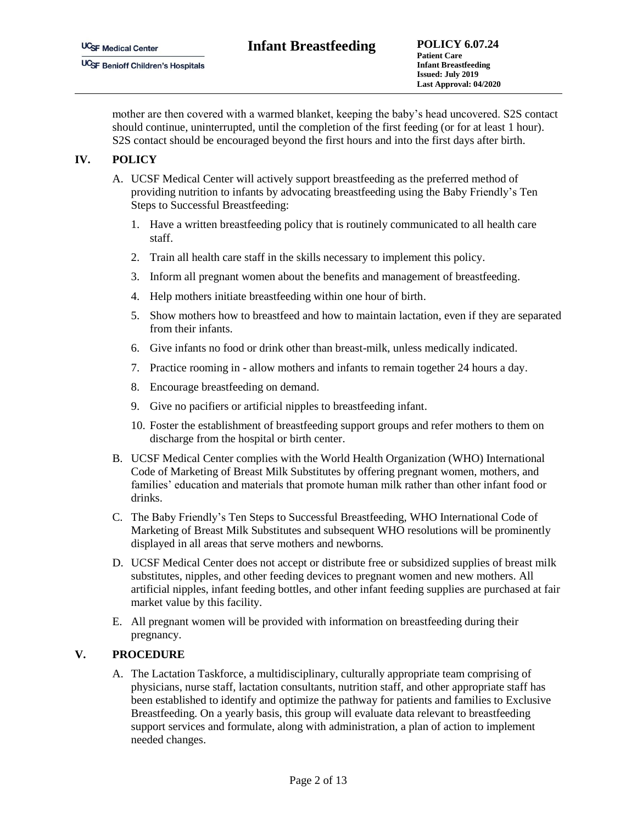mother are then covered with a warmed blanket, keeping the baby's head uncovered. S2S contact should continue, uninterrupted, until the completion of the first feeding (or for at least 1 hour). S2S contact should be encouraged beyond the first hours and into the first days after birth.

# **IV. POLICY**

- A. UCSF Medical Center will actively support breastfeeding as the preferred method of providing nutrition to infants by advocating breastfeeding using the Baby Friendly's Ten Steps to Successful Breastfeeding:
	- 1. Have a written breastfeeding policy that is routinely communicated to all health care staff.
	- 2. Train all health care staff in the skills necessary to implement this policy.
	- 3. Inform all pregnant women about the benefits and management of breastfeeding.
	- 4. Help mothers initiate breastfeeding within one hour of birth.
	- 5. Show mothers how to breastfeed and how to maintain lactation, even if they are separated from their infants.
	- 6. Give infants no food or drink other than breast-milk, unless medically indicated.
	- 7. Practice rooming in allow mothers and infants to remain together 24 hours a day.
	- 8. Encourage breastfeeding on demand.
	- 9. Give no pacifiers or artificial nipples to breastfeeding infant.
	- 10. Foster the establishment of breastfeeding support groups and refer mothers to them on discharge from the hospital or birth center.
- B. UCSF Medical Center complies with the World Health Organization (WHO) International Code of Marketing of Breast Milk Substitutes by offering pregnant women, mothers, and families' education and materials that promote human milk rather than other infant food or drinks.
- C. The Baby Friendly's Ten Steps to Successful Breastfeeding, WHO International Code of Marketing of Breast Milk Substitutes and subsequent WHO resolutions will be prominently displayed in all areas that serve mothers and newborns.
- D. UCSF Medical Center does not accept or distribute free or subsidized supplies of breast milk substitutes, nipples, and other feeding devices to pregnant women and new mothers. All artificial nipples, infant feeding bottles, and other infant feeding supplies are purchased at fair market value by this facility.
- E. All pregnant women will be provided with information on breastfeeding during their pregnancy.

### **V. PROCEDURE**

A. The Lactation Taskforce, a multidisciplinary, culturally appropriate team comprising of physicians, nurse staff, lactation consultants, nutrition staff, and other appropriate staff has been established to identify and optimize the pathway for patients and families to Exclusive Breastfeeding. On a yearly basis, this group will evaluate data relevant to breastfeeding support services and formulate, along with administration, a plan of action to implement needed changes.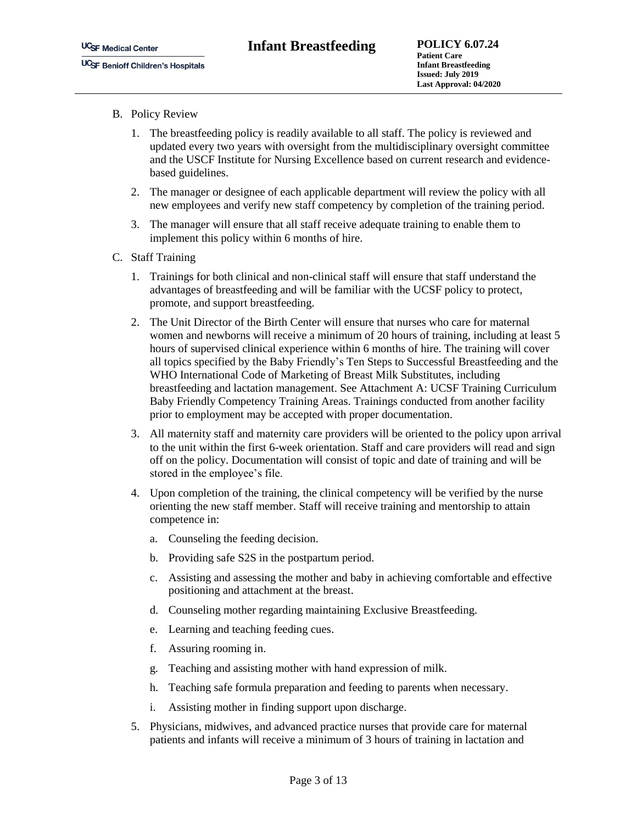- B. Policy Review
	- 1. The breastfeeding policy is readily available to all staff. The policy is reviewed and updated every two years with oversight from the multidisciplinary oversight committee and the USCF Institute for Nursing Excellence based on current research and evidencebased guidelines.
	- 2. The manager or designee of each applicable department will review the policy with all new employees and verify new staff competency by completion of the training period.
	- 3. The manager will ensure that all staff receive adequate training to enable them to implement this policy within 6 months of hire.
- C. Staff Training
	- 1. Trainings for both clinical and non-clinical staff will ensure that staff understand the advantages of breastfeeding and will be familiar with the UCSF policy to protect, promote, and support breastfeeding.
	- 2. The Unit Director of the Birth Center will ensure that nurses who care for maternal women and newborns will receive a minimum of 20 hours of training, including at least 5 hours of supervised clinical experience within 6 months of hire. The training will cover all topics specified by the Baby Friendly's Ten Steps to Successful Breastfeeding and the WHO International Code of Marketing of Breast Milk Substitutes, including breastfeeding and lactation management. See Attachment A: UCSF Training Curriculum Baby Friendly Competency Training Areas. Trainings conducted from another facility prior to employment may be accepted with proper documentation.
	- 3. All maternity staff and maternity care providers will be oriented to the policy upon arrival to the unit within the first 6-week orientation. Staff and care providers will read and sign off on the policy. Documentation will consist of topic and date of training and will be stored in the employee's file.
	- 4. Upon completion of the training, the clinical competency will be verified by the nurse orienting the new staff member. Staff will receive training and mentorship to attain competence in:
		- a. Counseling the feeding decision.
		- b. Providing safe S2S in the postpartum period.
		- c. Assisting and assessing the mother and baby in achieving comfortable and effective positioning and attachment at the breast.
		- d. Counseling mother regarding maintaining Exclusive Breastfeeding.
		- e. Learning and teaching feeding cues.
		- f. Assuring rooming in.
		- g. Teaching and assisting mother with hand expression of milk.
		- h. Teaching safe formula preparation and feeding to parents when necessary.
		- i. Assisting mother in finding support upon discharge.
	- 5. Physicians, midwives, and advanced practice nurses that provide care for maternal patients and infants will receive a minimum of 3 hours of training in lactation and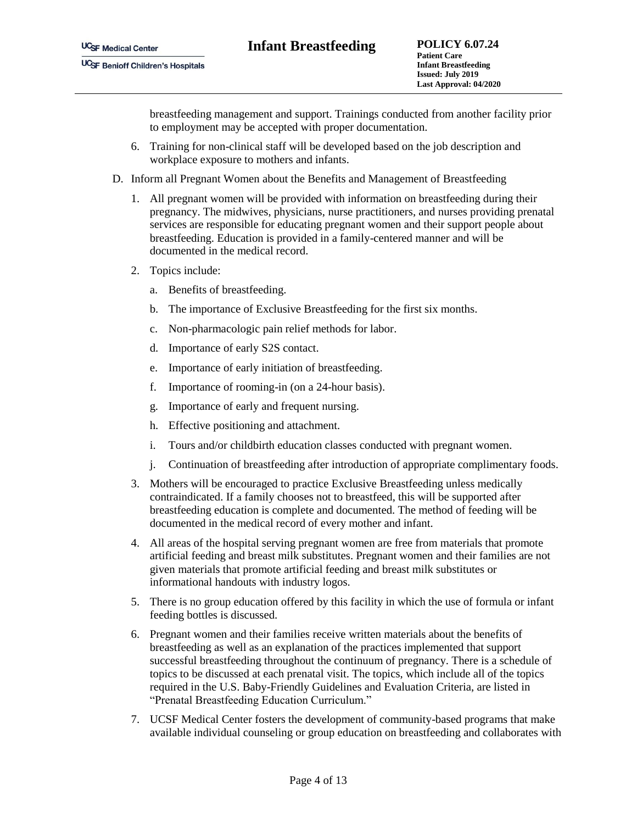breastfeeding management and support. Trainings conducted from another facility prior to employment may be accepted with proper documentation.

- 6. Training for non-clinical staff will be developed based on the job description and workplace exposure to mothers and infants.
- D. Inform all Pregnant Women about the Benefits and Management of Breastfeeding
	- 1. All pregnant women will be provided with information on breastfeeding during their pregnancy. The midwives, physicians, nurse practitioners, and nurses providing prenatal services are responsible for educating pregnant women and their support people about breastfeeding. Education is provided in a family-centered manner and will be documented in the medical record.
	- 2. Topics include:
		- a. Benefits of breastfeeding.
		- b. The importance of Exclusive Breastfeeding for the first six months.
		- c. Non-pharmacologic pain relief methods for labor.
		- d. Importance of early S2S contact.
		- e. Importance of early initiation of breastfeeding.
		- f. Importance of rooming-in (on a 24-hour basis).
		- g. Importance of early and frequent nursing.
		- h. Effective positioning and attachment.
		- i. Tours and/or childbirth education classes conducted with pregnant women.
		- j. Continuation of breastfeeding after introduction of appropriate complimentary foods.
	- 3. Mothers will be encouraged to practice Exclusive Breastfeeding unless medically contraindicated. If a family chooses not to breastfeed, this will be supported after breastfeeding education is complete and documented. The method of feeding will be documented in the medical record of every mother and infant.
	- 4. All areas of the hospital serving pregnant women are free from materials that promote artificial feeding and breast milk substitutes. Pregnant women and their families are not given materials that promote artificial feeding and breast milk substitutes or informational handouts with industry logos.
	- 5. There is no group education offered by this facility in which the use of formula or infant feeding bottles is discussed.
	- 6. Pregnant women and their families receive written materials about the benefits of breastfeeding as well as an explanation of the practices implemented that support successful breastfeeding throughout the continuum of pregnancy. There is a schedule of topics to be discussed at each prenatal visit. The topics, which include all of the topics required in the U.S. Baby-Friendly Guidelines and Evaluation Criteria, are listed in "Prenatal Breastfeeding Education Curriculum."
	- 7. UCSF Medical Center fosters the development of community-based programs that make available individual counseling or group education on breastfeeding and collaborates with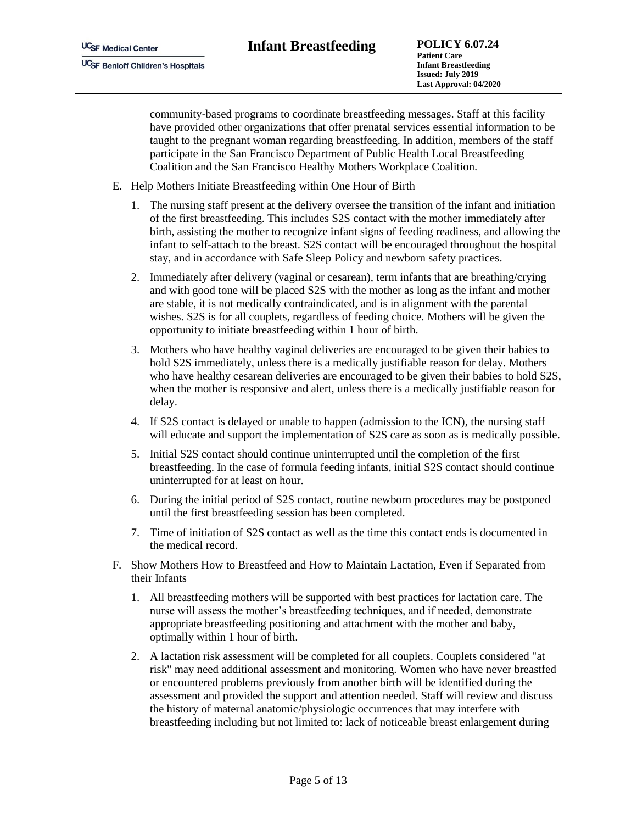community-based programs to coordinate breastfeeding messages. Staff at this facility have provided other organizations that offer prenatal services essential information to be taught to the pregnant woman regarding breastfeeding. In addition, members of the staff participate in the San Francisco Department of Public Health Local Breastfeeding Coalition and the San Francisco Healthy Mothers Workplace Coalition.

- E. Help Mothers Initiate Breastfeeding within One Hour of Birth
	- 1. The nursing staff present at the delivery oversee the transition of the infant and initiation of the first breastfeeding. This includes S2S contact with the mother immediately after birth, assisting the mother to recognize infant signs of feeding readiness, and allowing the infant to self-attach to the breast. S2S contact will be encouraged throughout the hospital stay, and in accordance with Safe Sleep Policy and newborn safety practices.
	- 2. Immediately after delivery (vaginal or cesarean), term infants that are breathing/crying and with good tone will be placed S2S with the mother as long as the infant and mother are stable, it is not medically contraindicated, and is in alignment with the parental wishes. S2S is for all couplets, regardless of feeding choice. Mothers will be given the opportunity to initiate breastfeeding within 1 hour of birth.
	- 3. Mothers who have healthy vaginal deliveries are encouraged to be given their babies to hold S2S immediately, unless there is a medically justifiable reason for delay. Mothers who have healthy cesarean deliveries are encouraged to be given their babies to hold S2S, when the mother is responsive and alert, unless there is a medically justifiable reason for delay.
	- 4. If S2S contact is delayed or unable to happen (admission to the ICN), the nursing staff will educate and support the implementation of S2S care as soon as is medically possible.
	- 5. Initial S2S contact should continue uninterrupted until the completion of the first breastfeeding. In the case of formula feeding infants, initial S2S contact should continue uninterrupted for at least on hour.
	- 6. During the initial period of S2S contact, routine newborn procedures may be postponed until the first breastfeeding session has been completed.
	- 7. Time of initiation of S2S contact as well as the time this contact ends is documented in the medical record.
- F. Show Mothers How to Breastfeed and How to Maintain Lactation, Even if Separated from their Infants
	- 1. All breastfeeding mothers will be supported with best practices for lactation care. The nurse will assess the mother's breastfeeding techniques, and if needed, demonstrate appropriate breastfeeding positioning and attachment with the mother and baby, optimally within 1 hour of birth.
	- 2. A lactation risk assessment will be completed for all couplets. Couplets considered "at risk" may need additional assessment and monitoring. Women who have never breastfed or encountered problems previously from another birth will be identified during the assessment and provided the support and attention needed. Staff will review and discuss the history of maternal anatomic/physiologic occurrences that may interfere with breastfeeding including but not limited to: lack of noticeable breast enlargement during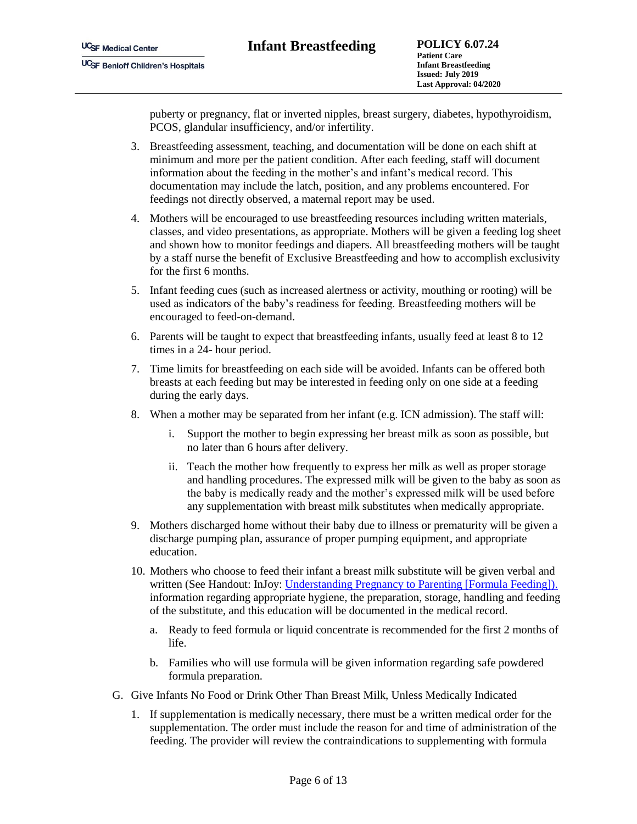puberty or pregnancy, flat or inverted nipples, breast surgery, diabetes, hypothyroidism, PCOS, glandular insufficiency, and/or infertility.

- 3. Breastfeeding assessment, teaching, and documentation will be done on each shift at minimum and more per the patient condition. After each feeding, staff will document information about the feeding in the mother's and infant's medical record. This documentation may include the latch, position, and any problems encountered. For feedings not directly observed, a maternal report may be used.
- 4. Mothers will be encouraged to use breastfeeding resources including written materials, classes, and video presentations, as appropriate. Mothers will be given a feeding log sheet and shown how to monitor feedings and diapers. All breastfeeding mothers will be taught by a staff nurse the benefit of Exclusive Breastfeeding and how to accomplish exclusivity for the first 6 months.
- 5. Infant feeding cues (such as increased alertness or activity, mouthing or rooting) will be used as indicators of the baby's readiness for feeding. Breastfeeding mothers will be encouraged to feed-on-demand.
- 6. Parents will be taught to expect that breastfeeding infants, usually feed at least 8 to 12 times in a 24- hour period.
- 7. Time limits for breastfeeding on each side will be avoided. Infants can be offered both breasts at each feeding but may be interested in feeding only on one side at a feeding during the early days.
- 8. When a mother may be separated from her infant (e.g. ICN admission). The staff will:
	- i. Support the mother to begin expressing her breast milk as soon as possible, but no later than 6 hours after delivery.
	- ii. Teach the mother how frequently to express her milk as well as proper storage and handling procedures. The expressed milk will be given to the baby as soon as the baby is medically ready and the mother's expressed milk will be used before any supplementation with breast milk substitutes when medically appropriate.
- 9. Mothers discharged home without their baby due to illness or prematurity will be given a discharge pumping plan, assurance of proper pumping equipment, and appropriate education.
- 10. Mothers who choose to feed their infant a breast milk substitute will be given verbal and written (See Handout: InJoy: Understanding Pregnancy to Parenting [Formula Feeding]). information regarding appropriate hygiene, the preparation, storage, handling and feeding of the substitute, and this education will be documented in the medical record.
	- a. Ready to feed formula or liquid concentrate is recommended for the first 2 months of life.
	- b. Families who will use formula will be given information regarding safe powdered formula preparation.
- G. Give Infants No Food or Drink Other Than Breast Milk, Unless Medically Indicated
	- 1. If supplementation is medically necessary, there must be a written medical order for the supplementation. The order must include the reason for and time of administration of the feeding. The provider will review the contraindications to supplementing with formula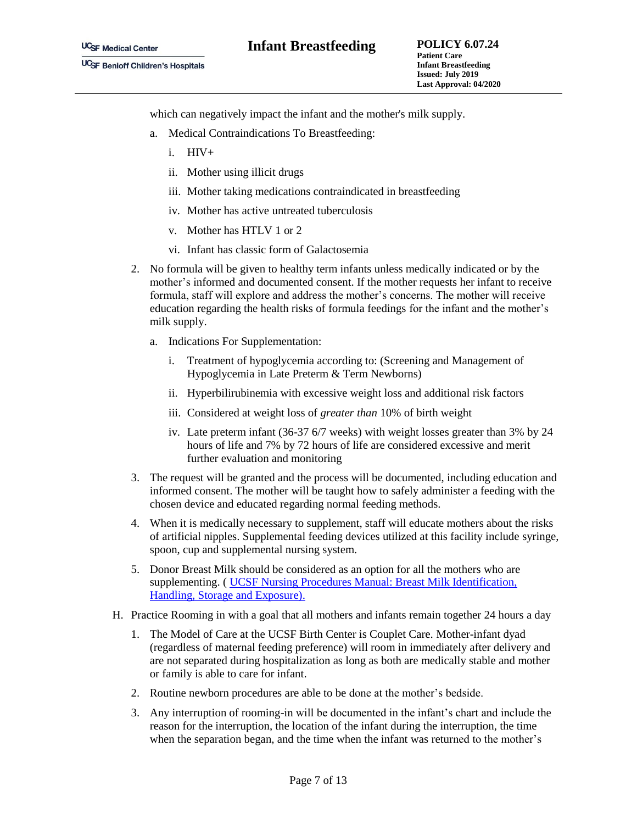which can negatively impact the infant and the mother's milk supply.

- a. Medical Contraindications To Breastfeeding:
	- i. HIV+
	- ii. Mother using illicit drugs
	- iii. Mother taking medications contraindicated in breastfeeding
	- iv. Mother has active untreated tuberculosis
	- v. Mother has HTLV 1 or 2
	- vi. Infant has classic form of Galactosemia
- 2. No formula will be given to healthy term infants unless medically indicated or by the mother's informed and documented consent. If the mother requests her infant to receive formula, staff will explore and address the mother's concerns. The mother will receive education regarding the health risks of formula feedings for the infant and the mother's milk supply.
	- a. Indications For Supplementation:
		- i. Treatment of hypoglycemia according to: (Screening and Management of Hypoglycemia in Late Preterm & Term Newborns)
		- ii. Hyperbilirubinemia with excessive weight loss and additional risk factors
		- iii. Considered at weight loss of *greater than* 10% of birth weight
		- iv. Late preterm infant (36-37 6/7 weeks) with weight losses greater than 3% by 24 hours of life and 7% by 72 hours of life are considered excessive and merit further evaluation and monitoring
- 3. The request will be granted and the process will be documented, including education and informed consent. The mother will be taught how to safely administer a feeding with the chosen device and educated regarding normal feeding methods.
- 4. When it is medically necessary to supplement, staff will educate mothers about the risks of artificial nipples. Supplemental feeding devices utilized at this facility include syringe, spoon, cup and supplemental nursing system.
- 5. Donor Breast Milk should be considered as an option for all the mothers who are supplementing. ( [UCSF Nursing Procedures Manual: Breast Milk Identification,](file:///C:/Users/thakkarv/AppData/Local/Microsoft/Windows/INetCache/Content.Outlook/2A9NBC39/DeptOfNursing_Breastmilk%20Identification,Handling,Storage,Exposure.pdf)  [Handling, Storage and Exposure\).](file:///C:/Users/thakkarv/AppData/Local/Microsoft/Windows/INetCache/Content.Outlook/2A9NBC39/DeptOfNursing_Breastmilk%20Identification,Handling,Storage,Exposure.pdf)
- H. Practice Rooming in with a goal that all mothers and infants remain together 24 hours a day
	- 1. The Model of Care at the UCSF Birth Center is Couplet Care. Mother-infant dyad (regardless of maternal feeding preference) will room in immediately after delivery and are not separated during hospitalization as long as both are medically stable and mother or family is able to care for infant.
	- 2. Routine newborn procedures are able to be done at the mother's bedside.
	- 3. Any interruption of rooming-in will be documented in the infant's chart and include the reason for the interruption, the location of the infant during the interruption, the time when the separation began, and the time when the infant was returned to the mother's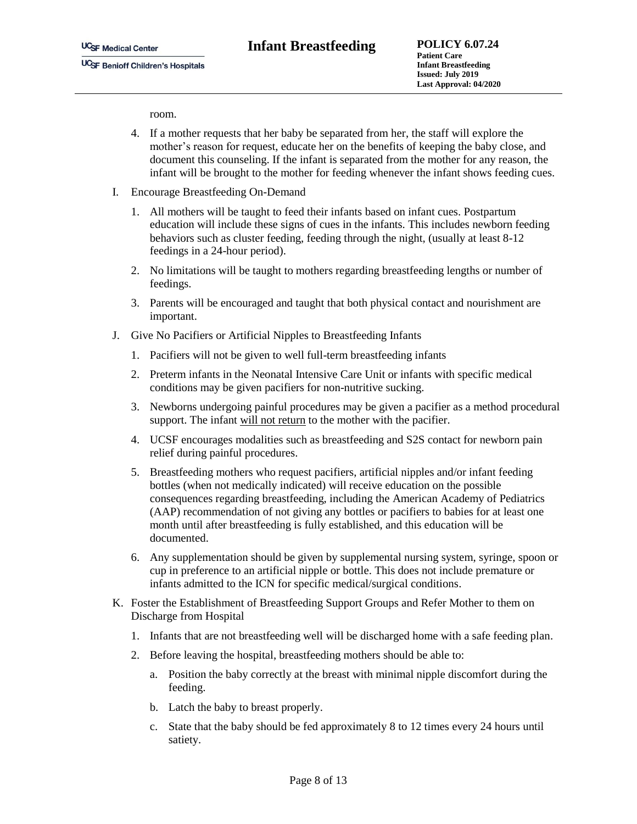room.

- 4. If a mother requests that her baby be separated from her, the staff will explore the mother's reason for request, educate her on the benefits of keeping the baby close, and document this counseling. If the infant is separated from the mother for any reason, the infant will be brought to the mother for feeding whenever the infant shows feeding cues.
- I. Encourage Breastfeeding On-Demand
	- 1. All mothers will be taught to feed their infants based on infant cues. Postpartum education will include these signs of cues in the infants. This includes newborn feeding behaviors such as cluster feeding, feeding through the night, (usually at least 8-12 feedings in a 24-hour period).
	- 2. No limitations will be taught to mothers regarding breastfeeding lengths or number of feedings.
	- 3. Parents will be encouraged and taught that both physical contact and nourishment are important.
- J. Give No Pacifiers or Artificial Nipples to Breastfeeding Infants
	- 1. Pacifiers will not be given to well full-term breastfeeding infants
	- 2. Preterm infants in the Neonatal Intensive Care Unit or infants with specific medical conditions may be given pacifiers for non-nutritive sucking.
	- 3. Newborns undergoing painful procedures may be given a pacifier as a method procedural support. The infant will not return to the mother with the pacifier.
	- 4. UCSF encourages modalities such as breastfeeding and S2S contact for newborn pain relief during painful procedures.
	- 5. Breastfeeding mothers who request pacifiers, artificial nipples and/or infant feeding bottles (when not medically indicated) will receive education on the possible consequences regarding breastfeeding, including the American Academy of Pediatrics (AAP) recommendation of not giving any bottles or pacifiers to babies for at least one month until after breastfeeding is fully established, and this education will be documented.
	- 6. Any supplementation should be given by supplemental nursing system, syringe, spoon or cup in preference to an artificial nipple or bottle. This does not include premature or infants admitted to the ICN for specific medical/surgical conditions.
- K. Foster the Establishment of Breastfeeding Support Groups and Refer Mother to them on Discharge from Hospital
	- 1. Infants that are not breastfeeding well will be discharged home with a safe feeding plan.
	- 2. Before leaving the hospital, breastfeeding mothers should be able to:
		- a. Position the baby correctly at the breast with minimal nipple discomfort during the feeding.
		- b. Latch the baby to breast properly.
		- c. State that the baby should be fed approximately 8 to 12 times every 24 hours until satiety.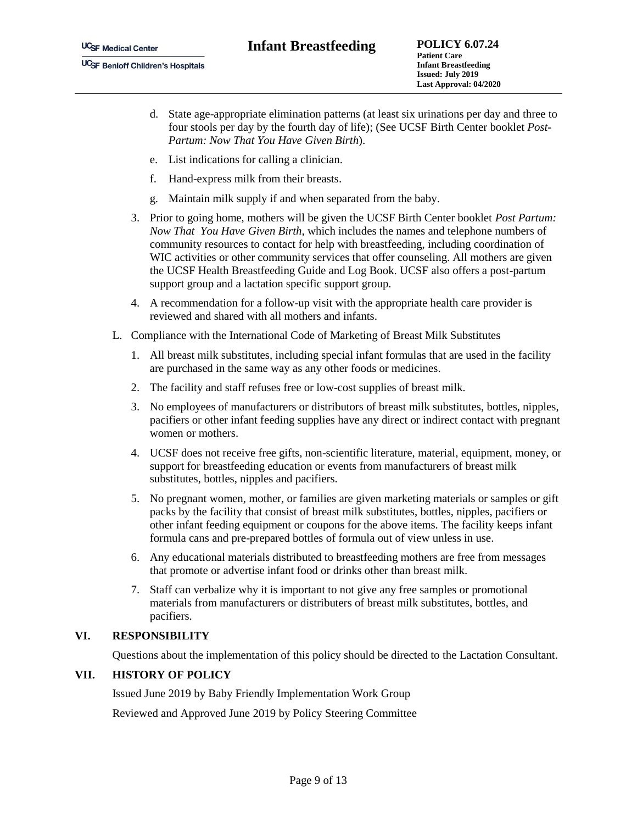- d. State age-appropriate elimination patterns (at least six urinations per day and three to four stools per day by the fourth day of life); (See UCSF Birth Center booklet *Post-Partum: Now That You Have Given Birth*).
- e. List indications for calling a clinician.
- f. Hand-express milk from their breasts.
- g. Maintain milk supply if and when separated from the baby.
- 3. Prior to going home, mothers will be given the UCSF Birth Center booklet *Post Partum: Now That You Have Given Birth*, which includes the names and telephone numbers of community resources to contact for help with breastfeeding, including coordination of WIC activities or other community services that offer counseling. All mothers are given the UCSF Health Breastfeeding Guide and Log Book. UCSF also offers a post-partum support group and a lactation specific support group.
- 4. A recommendation for a follow-up visit with the appropriate health care provider is reviewed and shared with all mothers and infants.
- L. Compliance with the International Code of Marketing of Breast Milk Substitutes
	- 1. All breast milk substitutes, including special infant formulas that are used in the facility are purchased in the same way as any other foods or medicines.
	- 2. The facility and staff refuses free or low-cost supplies of breast milk.
	- 3. No employees of manufacturers or distributors of breast milk substitutes, bottles, nipples, pacifiers or other infant feeding supplies have any direct or indirect contact with pregnant women or mothers.
	- 4. UCSF does not receive free gifts, non-scientific literature, material, equipment, money, or support for breastfeeding education or events from manufacturers of breast milk substitutes, bottles, nipples and pacifiers.
	- 5. No pregnant women, mother, or families are given marketing materials or samples or gift packs by the facility that consist of breast milk substitutes, bottles, nipples, pacifiers or other infant feeding equipment or coupons for the above items. The facility keeps infant formula cans and pre-prepared bottles of formula out of view unless in use.
	- 6. Any educational materials distributed to breastfeeding mothers are free from messages that promote or advertise infant food or drinks other than breast milk.
	- 7. Staff can verbalize why it is important to not give any free samples or promotional materials from manufacturers or distributers of breast milk substitutes, bottles, and pacifiers.

## **VI. RESPONSIBILITY**

Questions about the implementation of this policy should be directed to the Lactation Consultant.

# **VII. HISTORY OF POLICY**

Issued June 2019 by Baby Friendly Implementation Work Group

Reviewed and Approved June 2019 by Policy Steering Committee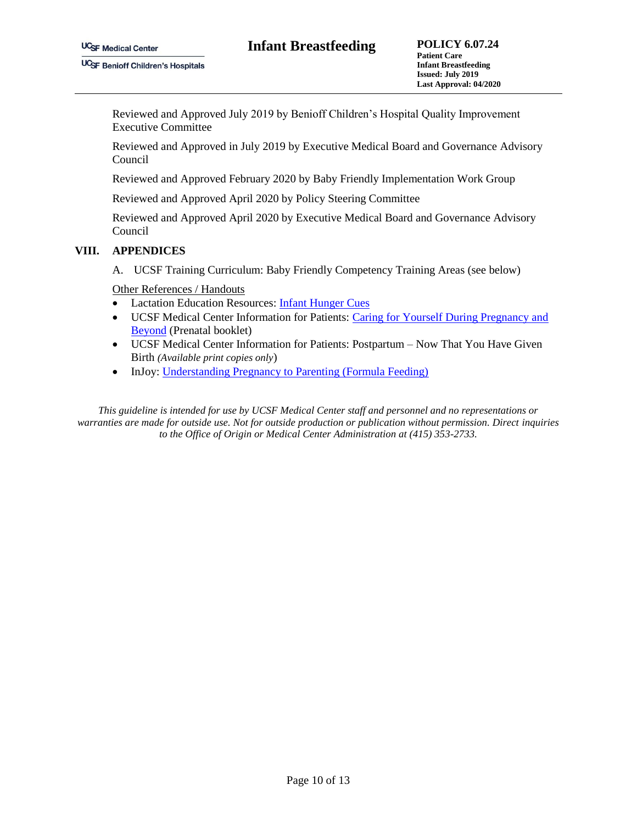Reviewed and Approved July 2019 by Benioff Children's Hospital Quality Improvement Executive Committee

Reviewed and Approved in July 2019 by Executive Medical Board and Governance Advisory Council

Reviewed and Approved February 2020 by Baby Friendly Implementation Work Group

Reviewed and Approved April 2020 by Policy Steering Committee

Reviewed and Approved April 2020 by Executive Medical Board and Governance Advisory Council

### **VIII. APPENDICES**

A. UCSF Training Curriculum: Baby Friendly Competency Training Areas (see below)

Other References / Handouts

- Lactation Education Resources: [Infant Hunger Cues](https://www.lactationtraining.com/resources/educational-materials/handouts-parents?task=document.viewdoc&id=33)
- UCSF Medical Center Information for Patients: [Caring for Yourself During Pregnancy and](https://issuu.com/whrc-vt/docs/ucsf_pregguidebook)  [Beyond](https://issuu.com/whrc-vt/docs/ucsf_pregguidebook) (Prenatal booklet)
- UCSF Medical Center Information for Patients: Postpartum Now That You Have Given Birth *(Available print copies only*)
- InJoy: Understanding Pregnancy to Parenting (Formula Feeding)

*This guideline is intended for use by UCSF Medical Center staff and personnel and no representations or warranties are made for outside use. Not for outside production or publication without permission. Direct inquiries to the Office of Origin or Medical Center Administration at (415) 353-2733.*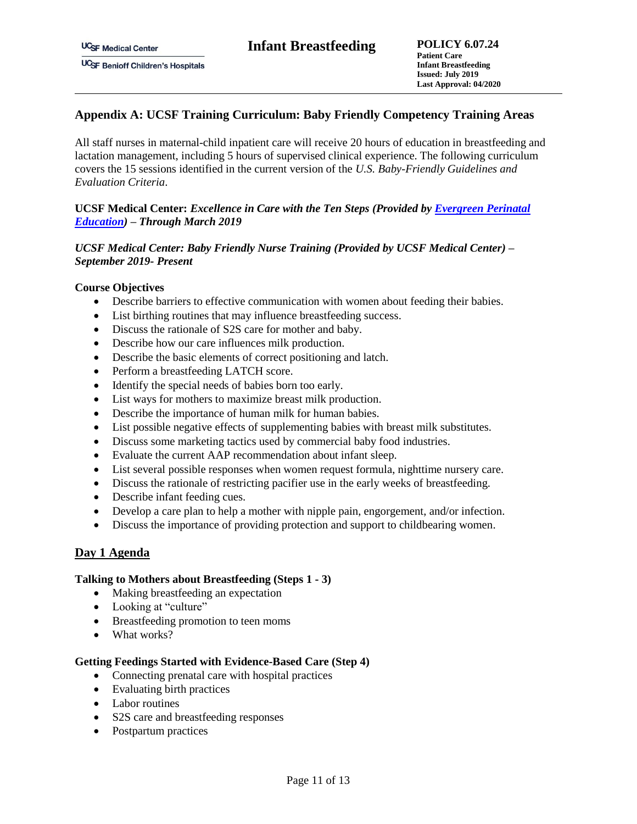# **Appendix A: UCSF Training Curriculum: Baby Friendly Competency Training Areas**

All staff nurses in maternal-child inpatient care will receive 20 hours of education in breastfeeding and lactation management, including 5 hours of supervised clinical experience. The following curriculum covers the 15 sessions identified in the current version of the *U.S. Baby-Friendly Guidelines and Evaluation Criteria*.

## **UCSF Medical Center:** *Excellence in Care with the Ten Steps (Provided by [Evergreen Perinatal](http://www.evergreenperinataleducation.com/)  [Education\)](http://www.evergreenperinataleducation.com/) – Through March 2019*

## *UCSF Medical Center: Baby Friendly Nurse Training (Provided by UCSF Medical Center) – September 2019- Present*

### **Course Objectives**

- Describe barriers to effective communication with women about feeding their babies.
- List birthing routines that may influence breastfeeding success.
- Discuss the rationale of S2S care for mother and baby.
- Describe how our care influences milk production.
- Describe the basic elements of correct positioning and latch.
- Perform a breastfeeding LATCH score.
- Identify the special needs of babies born too early.
- List ways for mothers to maximize breast milk production.
- Describe the importance of human milk for human babies.
- List possible negative effects of supplementing babies with breast milk substitutes.
- Discuss some marketing tactics used by commercial baby food industries.
- Evaluate the current AAP recommendation about infant sleep.
- List several possible responses when women request formula, nighttime nursery care.
- Discuss the rationale of restricting pacifier use in the early weeks of breastfeeding.
- Describe infant feeding cues.
- Develop a care plan to help a mother with nipple pain, engorgement, and/or infection.
- Discuss the importance of providing protection and support to childbearing women.

## **Day 1 Agenda**

#### **Talking to Mothers about Breastfeeding (Steps 1 - 3)**

- Making breastfeeding an expectation
- Looking at "culture"
- Breastfeeding promotion to teen moms
- What works?

#### **Getting Feedings Started with Evidence-Based Care (Step 4)**

- Connecting prenatal care with hospital practices
- Evaluating birth practices
- Labor routines
- S2S care and breastfeeding responses
- Postpartum practices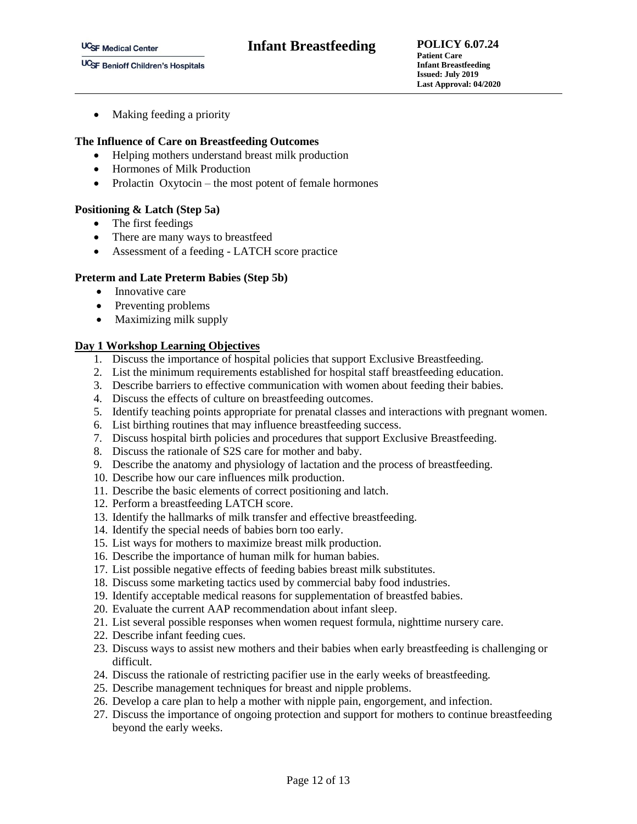• Making feeding a priority

### **The Influence of Care on Breastfeeding Outcomes**

- Helping mothers understand breast milk production
- Hormones of Milk Production
- Prolactin  $Oxvtocin -$  the most potent of female hormones

### **Positioning & Latch (Step 5a)**

- The first feedings
- There are many ways to breastfeed
- Assessment of a feeding LATCH score practice

### **Preterm and Late Preterm Babies (Step 5b)**

- Innovative care
- Preventing problems
- Maximizing milk supply

### **Day 1 Workshop Learning Objectives**

- 1. Discuss the importance of hospital policies that support Exclusive Breastfeeding.
- 2. List the minimum requirements established for hospital staff breastfeeding education.
- 3. Describe barriers to effective communication with women about feeding their babies.
- 4. Discuss the effects of culture on breastfeeding outcomes.
- 5. Identify teaching points appropriate for prenatal classes and interactions with pregnant women.
- 6. List birthing routines that may influence breastfeeding success.
- 7. Discuss hospital birth policies and procedures that support Exclusive Breastfeeding.
- 8. Discuss the rationale of S2S care for mother and baby.
- 9. Describe the anatomy and physiology of lactation and the process of breastfeeding.
- 10. Describe how our care influences milk production.
- 11. Describe the basic elements of correct positioning and latch.
- 12. Perform a breastfeeding LATCH score.
- 13. Identify the hallmarks of milk transfer and effective breastfeeding.
- 14. Identify the special needs of babies born too early.
- 15. List ways for mothers to maximize breast milk production.
- 16. Describe the importance of human milk for human babies.
- 17. List possible negative effects of feeding babies breast milk substitutes.
- 18. Discuss some marketing tactics used by commercial baby food industries.
- 19. Identify acceptable medical reasons for supplementation of breastfed babies.
- 20. Evaluate the current AAP recommendation about infant sleep.
- 21. List several possible responses when women request formula, nighttime nursery care.
- 22. Describe infant feeding cues.
- 23. Discuss ways to assist new mothers and their babies when early breastfeeding is challenging or difficult.
- 24. Discuss the rationale of restricting pacifier use in the early weeks of breastfeeding.
- 25. Describe management techniques for breast and nipple problems.
- 26. Develop a care plan to help a mother with nipple pain, engorgement, and infection.
- 27. Discuss the importance of ongoing protection and support for mothers to continue breastfeeding beyond the early weeks.